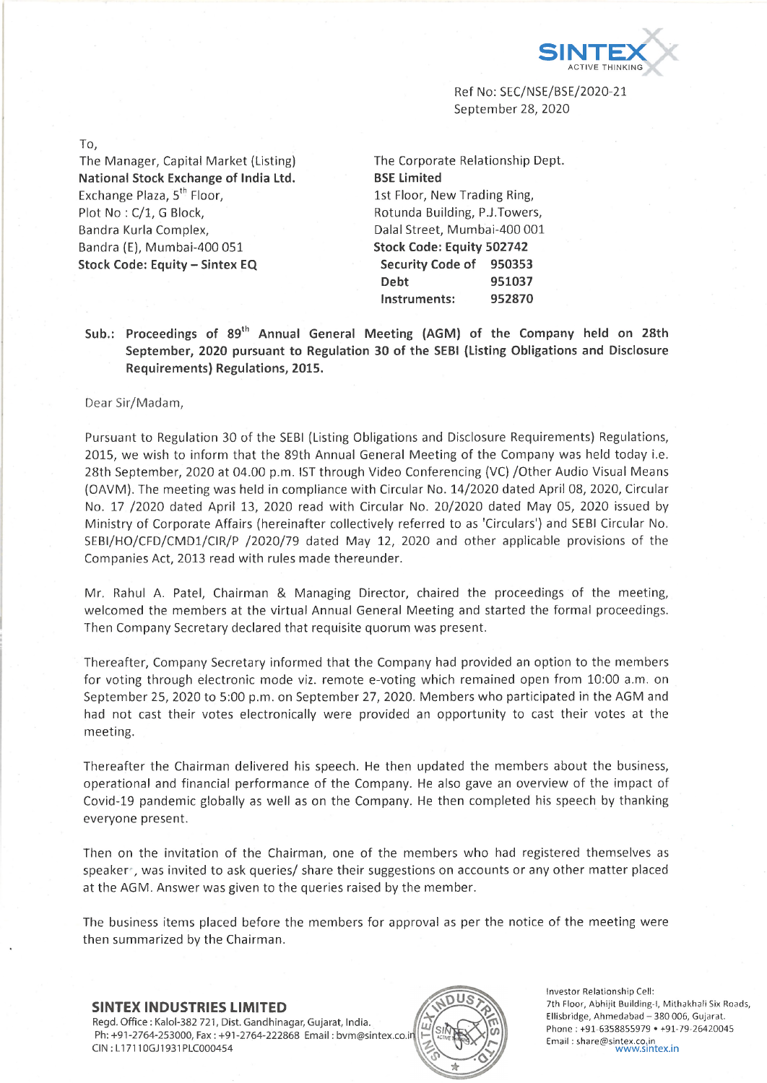

Ref No: SEC/NSE/BSE/2020-21 September 28, 2020

To, The Manager, Capital Market (Listing) **National Stock Exchange of India Ltd.** Exchange Plaza, 5<sup>th</sup> Floor, Plot No : C/1, G Block, Bandra Kurla Complex, Bandra (E), Mumbai-400 051

**Stock Code: Equity - Sintex EQ**

The Corporate Relationship Dept **BSE Limited** 1st Floor, New Trading Ring, Rotunda Building, P.J.Towers, Dalai Street, Mumbai-400 001 **Stock Code: Equity 502742 Security Code of 950353 Debt 951037 Instruments: 952870**

**Sub.: Proceedings of 89th Annual General Meeting (AGM) of the Company held on 28th September, 2020 pursuant to Regulation 30 of the SEBI (Listing Obligations and Disclosure Requirements) Regulations, 2015.**

#### Dear Sir/Madam,

Pursuant to Regulation 30 of the SEBI (Listing Obligations and Disclosure Requirements) Regulations, 2015, we wish to inform that the 89th Annual General Meeting of the Company was held today i.e. 28th September, 2020 at 04.00 p.m. 1ST through Video Conferencing (VC) /Other Audio Visual Means (OAVM). The meeting was held in compliance with Circular No. 14/2020 dated April 08, 2020, Circular No. 17 /2020 dated April 13, 2020 read with Circular No. 20/2020 dated May 05, 2020 issued by Ministry of Corporate Affairs (hereinafter collectively referred to as 'Circulars') and SEBI Circular No. SEBI/FIO/CFD/CMD1/CIR/P /2020/79 dated May 12, 2020 and other applicable provisions of the Companies Act, 2013 read with rules made thereunder.

Mr. Rahul A. Patel, Chairman & Managing Director, chaired the proceedings of the meeting, welcomed the members at the virtual Annual General Meeting and started the formal proceedings. Then Company Secretary declared that requisite quorum was present.

Thereafter, Company Secretary informed that the Company had provided an option to the members for voting through electronic mode viz. remote e-voting which remained open from 10:00 a.m. on September 25, 2020 to 5:00 p.m. on September 27, 2020. Members who participated in the AGM and had not cast their votes electronically were provided an opportunity to cast their votes at the meeting.

Thereafter the Chairman delivered his speech. He then updated the members about the business, operational and financial performance of the Company. Fie also gave an overview of the impact of Covid-19 pandemic globally as well as on the Company. He then completed his speech by thanking everyone present.

Then on the invitation of the Chairman, one of the members who had registered themselves as speaker , was invited to ask queries/ share their suggestions on accounts or any other matter placed at the AGM. Answer was given to the queries raised by the member.

The business items placed before the members for approval as per the notice of the meeting were then summarized by the Chairman.

# **SINTEX INDUSTRIES LIMITED**

Regd. Office : Kaloi-382 721, Dist. Gandhinagar, Gujarat, India. Ph: +91-2764-253000, Fax: +91-2764-222868 Email: bvm@sintex.co.i CIN : LI 7110GJ1931PLC000454



Investor Relationship Cell: 7th Floor, Abhijit Building-I, Mithakhali Six Roads, Ellisbridge, Ahmedabad - 380 006, Gujarat. Phone : +91-6358855979 • +91-79-26420045 Email : [share@sintex.co.in](mailto:share@sintex.co.in) [www.sintex.in](http://www.sintex.in)